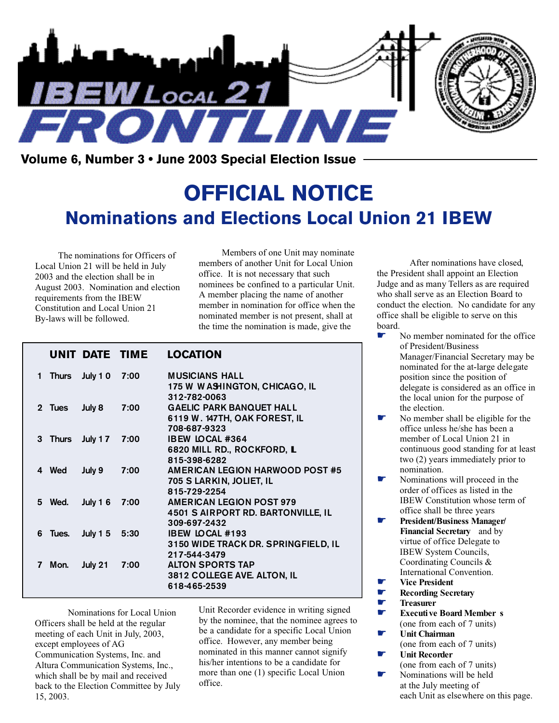

**Volume 6, Number 3 • June 2003 Special Election Issue**

# **OFFICIAL NOTICE Nominations and Elections Local Union 21 IBEW**

The nominations for Officers of Local Union 21 will be held in July 2003 and the election shall be in August 2003. Nomination and election requirements from the IBEW Constitution and Local Union 21 By-laws will be followed.

Members of one Unit may nominate members of another Unit for Local Union office. It is not necessary that such nominees be confined to a particular Unit. A member placing the name of another member in nomination for office when the nominated member is not present, shall at the time the nomination is made, give the

|    |         |                 | UNIT DATE TIME | <b>LOCATION</b>                                                                              |
|----|---------|-----------------|----------------|----------------------------------------------------------------------------------------------|
| 1. | Thurs   | July 10         | 7:00           | <b>MUSICIANS HALL</b><br>175 W WASHINGTON, CHICAGO, IL<br>312-782-0063                       |
|    | 2 Tues  | July 8          | 7:00           | <b>GAELIC PARK BANQUET HALL</b><br>6119 W. 147TH, OAK FOREST, IL<br>708-687-9323             |
|    | 3 Thurs | July $17$       | 7:00           | <b>IBEW LOCAL #364</b><br>6820 MILL RD., ROCKFORD, L<br>815-398-6282                         |
|    | 4 Wed   | July 9          | 7:00           | <b>AMERICAN LEGION HARWOOD POST #5</b><br>705 S LARKIN, JOLIET, IL<br>815-729-2254           |
|    | 5 Wed.  | July $16$       | 7:00           | <b>AMERICAN LEGION POST 979</b><br><b>4501 S AIRPORT RD. BARTONVILLE, IL</b><br>309-697-2432 |
|    | 6 Tues. | <b>July 1 5</b> | 5:30           | <b>IBEW LOCAL #193</b><br>3150 WIDE TRACK DR. SPRINGFIELD, IL<br>217-544-3479                |
| 7  | Mon.    | July 21         | 7:00           | <b>ALTON SPORTS TAP</b><br><b>3812 COLLEGE AVE. ALTON, IL</b><br>618-465-2539                |

Nominations for Local Union Officers shall be held at the regular meeting of each Unit in July, 2003, except employees of AG Communication Systems, Inc. and Altura Communication Systems, Inc., which shall be by mail and received back to the Election Committee by July 15, 2003.

Unit Recorder evidence in writing signed by the nominee, that the nominee agrees to be a candidate for a specific Local Union office. However, any member being nominated in this manner cannot signify his/her intentions to be a candidate for more than one (1) specific Local Union office.

After nominations have closed, the President shall appoint an Election Judge and as many Tellers as are required who shall serve as an Election Board to conduct the election. No candidate for any office shall be eligible to serve on this board.

- No member nominated for the office of President/Business Manager/Financial Secretary may be nominated for the at-large delegate position since the position of delegate is considered as an office in the local union for the purpose of the election.
- No member shall be eligible for the office unless he/she has been a member of Local Union 21 in continuous good standing for at least two (2) years immediately prior to nomination.
- Nominations will proceed in the order of offices as listed in the IBEW Constitution whose term of office shall be three years
- ☛ **President/Business Manager/ Financial Secretary** and by virtue of office Delegate to IBEW System Councils, Coordinating Councils & International Convention.
- ☛ **Vice President**
- ☛ **Recording Secretary**
- ☛ **Tr easurer**
	- ☛ **Executive Board Member s** (one from each of 7 units)
- ☛ **Unit Chairman** (one from each of 7 units)
- ☛ **Unit Recorder** (one from each of 7 units)
	- Nominations will be held at the July meeting of each Unit as elsewhere on this page.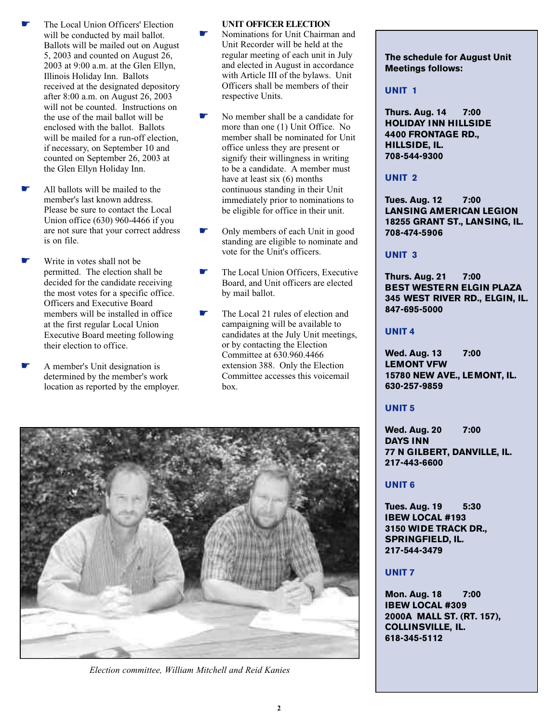- ☛ The Local Union Officers' Election will be conducted by mail ballot. Ballots will be mailed out on August 5, 2003 and counted on August 26, 2003 at 9:00 a.m. at the Glen Ellyn, Illinois Holiday Inn. Ballots received at the designated depository after 8:00 a.m. on August 26, 2003 will not be counted. Instructions on the use of the mail ballot will be enclosed with the ballot. Ballots will be mailed for a run-off election, if necessary, on September 10 and counted on September 26, 2003 at the Glen Ellyn Holiday Inn.
- All ballots will be mailed to the member's last known address. Please be sure to contact the Local Union office (630) 960-4466 if you are not sure that your correct address is on file.
- Write in votes shall not be permitted. The election shall be decided for the candidate receiving the most votes for a specific office. Officers and Executive Board members will be installed in office at the first regular Local Union Executive Board meeting following their election to office.
- ☛ A member's Unit designation is determined by the member's work location as reported by the employer.

#### **UNIT OFFICER ELECTION**

- Nominations for Unit Chairman and Unit Recorder will be held at the regular meeting of each unit in July and elected in August in accordance with Article III of the bylaws. Unit Officers shall be members of their respective Units.
- No member shall be a candidate for more than one (1) Unit Office. No member shall be nominated for Unit office unless they are present or signify their willingness in writing to be a candidate. A member must have at least six (6) months continuous standing in their Unit immediately prior to nominations to be eligible for office in their unit.
- ☛ Only members of each Unit in good standing are eligible to nominate and vote for the Unit's officers.
- The Local Union Officers, Executive Board, and Unit officers are elected by mail ballot.
- The Local 21 rules of election and campaigning will be available to candidates at the July Unit meetings, or by contacting the Election Committee at 630.960.4466 extension 388. Only the Election Committee accesses this voicemail box.



*Election committee, William Mitchell and Reid Kanies*

**The schedule for August Unit Meetings follows:**

#### **UNIT 1**

**Thurs. Aug. 14 7:00 HOLIDAY INN HILLSIDE 4400 FRONTAGE RD., HILLSIDE, IL. 708-544-9300** 

#### **UNIT 2**

**Tues. Aug. 12 7:00 LANSING AMERICAN LEGION 18255 GRANT ST., LANSING, IL. 708-474-5906**

#### **UNIT 3**

**Thurs. Aug. 21 7:00 BEST WESTERN ELGIN PLAZA 345 WEST RIVER RD., ELGIN, IL. 847-695-5000**

#### **UNIT 4**

**Wed. Aug. 13 7:00 LEMONT VFW 15780 NEW AVE., LEMONT, IL. 630-257-9859**

#### **UNIT 5**

**Wed. Aug. 20 7:00 DAYS INN 77 N GILBERT, DANVILLE, IL. 217-443-6600**

#### **UNIT 6**

**Tues. Aug. 19 5:30 IBEW LOCAL #193 3150 WIDE TRACK DR., SPRINGFIELD, IL. 217-544-3479**

#### **UNIT 7**

**Mon. Aug. 18 7:00 IBEW LOCAL #309 2000A MALL ST. (RT. 157), COLLINSVILLE, IL. 618-345-5112**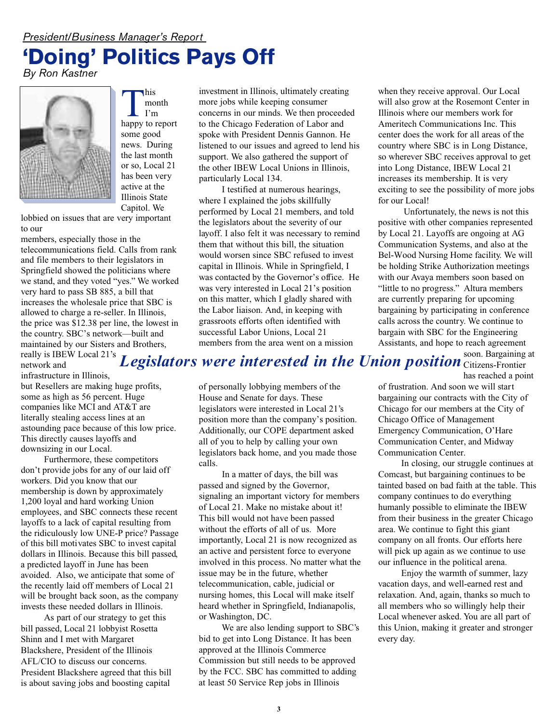## *President/Business Manager's Report* **'Doing' Politics Pays Off**

*By Ron Kastner*



his<br>
I'm<br>
lappy to report his month I'm some good news. During the last month or so, Local 21 has been very active at the Illinois State Capitol. We

lobbied on issues that are very important to our

members, especially those in the telecommunications field. Calls from rank and file members to their legislators in Springfield showed the politicians where we stand, and they voted "yes." We worked very hard to pass SB 885, a bill that increases the wholesale price that SBC is allowed to charge a re-seller. In Illinois, the price was \$12.38 per line, the lowest in the country. SBC's network—built and maintained by our Sisters and Brothers, really is IBEW Local 21's

infrastructure in Illinois,

but Resellers are making huge profits, some as high as 56 percent. Huge companies like MCI and AT&T are literally stealing access lines at an astounding pace because of this low price. This directly causes layoffs and downsizing in our Local.

Furthermore, these competitors don't provide jobs for any of our laid off workers. Did you know that our membership is down by approximately 1,200 loyal and hard working Union employees, and SBC connects these recent layoffs to a lack of capital resulting from the ridiculously low UNE-P price? Passage of this bill motivates SBC to invest capital dollars in Illinois. Because this bill passed, a predicted layoff in June has been avoided. Also, we anticipate that some of the recently laid off members of Local 21 will be brought back soon, as the company invests these needed dollars in Illinois.

As part of our strategy to get this bill passed, Local 21 lobbyist Rosetta Shinn and I met with Margaret Blackshere, President of the Illinois AFL/CIO to discuss our concerns. President Blackshere agreed that this bill is about saving jobs and boosting capital

investment in Illinois, ultimately creating more jobs while keeping consumer concerns in our minds. We then proceeded to the Chicago Federation of Labor and spoke with President Dennis Gannon. He listened to our issues and agreed to lend his support. We also gathered the support of the other IBEW Local Unions in Illinois, particularly Local 134.

I testified at numerous hearings, where I explained the jobs skillfully performed by Local 21 members, and told the legislators about the severity of our layoff. I also felt it was necessary to remind them that without this bill, the situation would worsen since SBC refused to invest capital in Illinois. While in Springfield, I was contacted by the Governor's office. He was very interested in Local 21's position on this matter, which I gladly shared with the Labor liaison. And, in keeping with grassroots efforts often identified with successful Labor Unions, Local 21 members from the area went on a mission

when they receive approval. Our Local will also grow at the Rosemont Center in Illinois where our members work for Ameritech Communications Inc. This center does the work for all areas of the country where SBC is in Long Distance, so wherever SBC receives approval to get into Long Distance, IBEW Local 21 increases its membership. It is very exciting to see the possibility of more jobs for our Local!

Unfortunately, the news is not this positive with other companies represented by Local 21. Layoffs are ongoing at AG Communication Systems, and also at the Bel-Wood Nursing Home facility. We will be holding Strike Authorization meetings with our Avaya members soon based on "little to no progress." Altura members are currently preparing for upcoming bargaining by participating in conference calls across the country. We continue to bargain with SBC for the Engineering Assistants, and hope to reach agreement<br>soon. Bargaining at

soon. Bargaining at Citizens-Frontier has reached a point network and *Legislators were interested in the Union position*

> of personally lobbying members of the House and Senate for days. These legislators were interested in Local 21's position more than the company's position. Additionally, our COPE department asked all of you to help by calling your own legislators back home, and you made those calls.

In a matter of days, the bill was passed and signed by the Governor, signaling an important victory for members of Local 21. Make no mistake about it! This bill would not have been passed without the efforts of all of us. More importantly, Local 21 is now recognized as an active and persistent force to everyone involved in this process. No matter what the issue may be in the future, whether telecommunication, cable, judicial or nursing homes, this Local will make itself heard whether in Springfield, Indianapolis, or Washington, DC.

We are also lending support to SBC's bid to get into Long Distance. It has been approved at the Illinois Commerce Commission but still needs to be approved by the FCC. SBC has committed to adding at least 50 Service Rep jobs in Illinois

of frustration. And soon we will start bargaining our contracts with the City of Chicago for our members at the City of Chicago Office of Management Emergency Communication, O'Hare Communication Center, and Midway Communication Center.

In closing, our struggle continues at Comcast, but bargaining continues to be tainted based on bad faith at the table. This company continues to do everything humanly possible to eliminate the IBEW from their business in the greater Chicago area. We continue to fight this giant company on all fronts. Our efforts here will pick up again as we continue to use our influence in the political arena.

Enjoy the warmth of summer, lazy vacation days, and well-earned rest and relaxation. And, again, thanks so much to all members who so willingly help their Local whenever asked. You are all part of this Union, making it greater and stronger every day.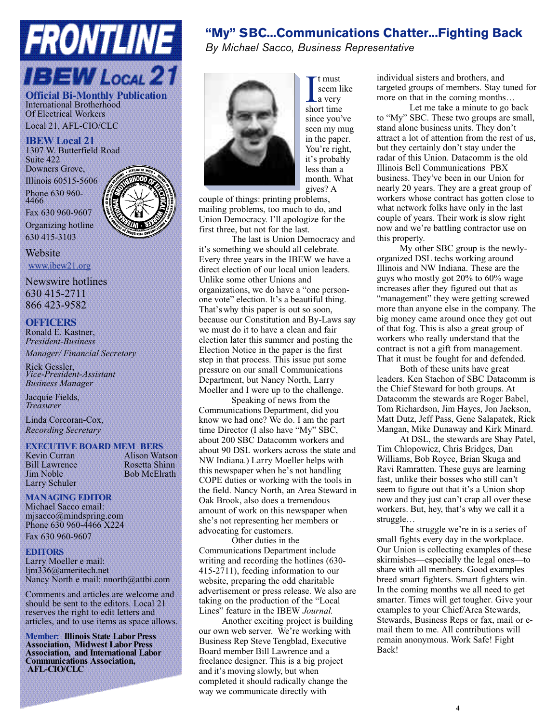# **FRONTLINE IBEW Local 21**

**Official Bi-Monthly Publication** International Brotherhood Of Electrical Workers Local 21, AFL-CIO/CLC

**IBEW Local 21** 1307 W. Butterfield Road Suite 422 Downers Grove, Illinois 60515-5606

Phone 630 960- 4466

Fax 630 960-9607

Organizing hotline

630 415-3103

Website www.ibew21.org

Newswire hotlines 630 415-2711 866 423-9582

#### **OFFICERS**

Ronald E. Kastner, *President-Business Manager/ Financial Secretary*

Rick Gessler, *Vice-President-Assistant Business Manager*

Jacquie Fields, *Treasurer*

Linda Corcoran-Cox, *Recording Secretary*

### **EXECUTIVE BOARD MEM BERS**

Larry Schuler

**Alison Watson** Bill Lawrence Rosetta Shinn Bob McElrath

#### **MANAGING EDITOR**

Michael Sacco email: mjsacco@mindspring.com Phone 630 960-4466 X224 Fax 630 960-9607

#### **EDITORS**

Larry Moeller e mail: ljm336@ameritech.net Nancy North e mail: nnorth@attbi.com

Comments and articles are welcome and should be sent to the editors. Local 21 reserves the right to edit letters and articles, and to use items as space allows.

**Member: Illinois State Labor Press Association, Midwest Labor Press Association, and International Labor Communications Association, AFL-CIO/CLC**

### **"My" SBC...Communications Chatter...Fighting Back**

*By Michael Sacco, Business Representative*



I t must<br>seem 1<br>short time t must seem like a very since you've seen my mug in the paper. You're right, it's probably less than a month. What gives? A

couple of things: printing problems, mailing problems, too much to do, and Union Democracy. I'll apologize for the first three, but not for the last.

The last is Union Democracy and it's something we should all celebrate. Every three years in the IBEW we have a direct election of our local union leaders. Unlike some other Unions and organizations, we do have a "one personone vote" election. It's a beautiful thing. That's why this paper is out so soon, because our Constitution and By-Laws say we must do it to have a clean and fair election later this summer and posting the Election Notice in the paper is the first step in that process. This issue put some pressure on our small Communications Department, but Nancy North, Larry Moeller and I were up to the challenge.

Speaking of news from the Communications Department, did you know we had one? We do. I am the part time Director (I also have "My" SBC, about 200 SBC Datacomm workers and about 90 DSL workers across the state and NW Indiana.) Larry Moeller helps with this newspaper when he's not handling COPE duties or working with the tools in the field. Nancy North, an Area Steward in Oak Brook, also does a tremendous amount of work on this newspaper when she's not representing her members or advocating for customers.

Other duties in the Communications Department include writing and recording the hotlines (630- 415-2711), feeding information to our website, preparing the odd charitable advertisement or press release. We also are taking on the production of the "Local Lines" feature in the IBEW *Journal.* 

Another exciting project is building our own web server. We're working with Business Rep Steve Tengblad, Executive Board member Bill Lawrence and a freelance designer. This is a big project and it's moving slowly, but when completed it should radically change the way we communicate directly with

individual sisters and brothers, and targeted groups of members. Stay tuned for more on that in the coming months…

Let me take a minute to go back to "My" SBC. These two groups are small, stand alone business units. They don't attract a lot of attention from the rest of us, but they certainly don't stay under the radar of this Union. Datacomm is the old Illinois Bell Communications PBX business. They've been in our Union for nearly 20 years. They are a great group of workers whose contract has gotten close to what network folks have only in the last couple of years. Their work is slow right now and we're battling contractor use on this property.

My other SBC group is the newlyorganized DSL techs working around Illinois and NW Indiana. These are the guys who mostly got 20% to 60% wage increases after they figured out that as "management" they were getting screwed more than anyone else in the company. The big money came around once they got out of that fog. This is also a great group of workers who really understand that the contract is not a gift from management. That it must be fought for and defended.

Both of these units have great leaders. Ken Stachon of SBC Datacomm is the Chief Steward for both groups. At Datacomm the stewards are Roger Babel, Tom Richardson, Jim Hayes, Jon Jackson, Matt Dutz, Jeff Pass, Gene Salapatek, Rick Mangan, Mike Dunaway and Kirk Minard.

At DSL, the stewards are Shay Patel, Tim Chlopowicz, Chris Bridges, Dan Williams, Bob Royce, Brian Skuga and Ravi Ramratten. These guys are learning fast, unlike their bosses who still can't seem to figure out that it's a Union shop now and they just can't crap all over these workers. But, hey, that's why we call it a struggle…

The struggle we're in is a series of small fights every day in the workplace. Our Union is collecting examples of these skirmishes—especially the legal ones—to share with all members. Good examples breed smart fighters. Smart fighters win. In the coming months we all need to get smarter. Times will get tougher. Give your examples to your Chief/Area Stewards, Stewards, Business Reps or fax, mail or email them to me. All contributions will remain anonymous. Work Safe! Fight Back!

**4**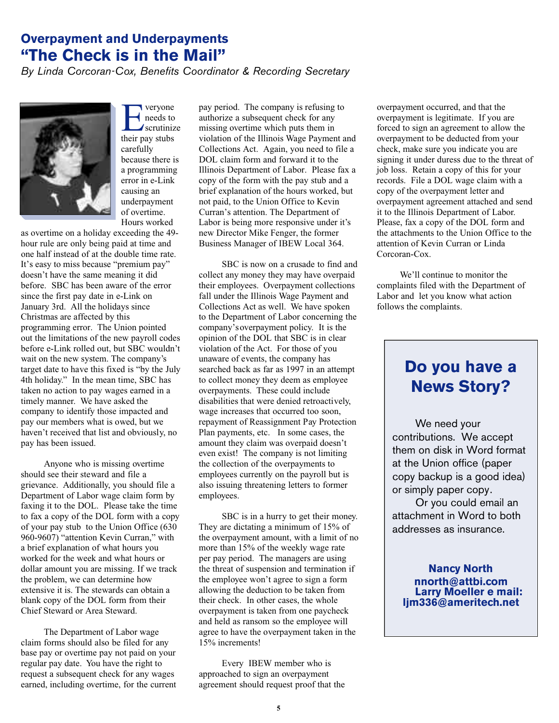### **Overpayment and Underpayments "The Check is in the Mail"**

*By Linda Corcoran-Cox, Benefits Coordinator & Recording Secretary*



**Exercise Secution**<br> **Exerciting**<br> **Exerciting**<br> **Exercise Secution** veryone needs to scrutinize carefully because there is a programming error in e-Link causing an underpayment of overtime. Hours worked

as overtime on a holiday exceeding the 49 hour rule are only being paid at time and one half instead of at the double time rate. It's easy to miss because "premium pay" doesn't have the same meaning it did before. SBC has been aware of the error since the first pay date in e-Link on January 3rd. All the holidays since Christmas are affected by this programming error. The Union pointed out the limitations of the new payroll codes before e-Link rolled out, but SBC wouldn't wait on the new system. The company's target date to have this fixed is "by the July 4th holiday." In the mean time, SBC has taken no action to pay wages earned in a timely manner. We have asked the company to identify those impacted and pay our members what is owed, but we haven't received that list and obviously, no pay has been issued.

Anyone who is missing overtime should see their steward and file a grievance. Additionally, you should file a Department of Labor wage claim form by faxing it to the DOL. Please take the time to fax a copy of the DOL form with a copy of your pay stub to the Union Office (630 960-9607) "attention Kevin Curran," with a brief explanation of what hours you worked for the week and what hours or dollar amount you are missing. If we track the problem, we can determine how extensive it is. The stewards can obtain a blank copy of the DOL form from their Chief Steward or Area Steward.

The Department of Labor wage claim forms should also be filed for any base pay or overtime pay not paid on your regular pay date. You have the right to request a subsequent check for any wages earned, including overtime, for the current pay period. The company is refusing to authorize a subsequent check for any missing overtime which puts them in violation of the Illinois Wage Payment and Collections Act. Again, you need to file a DOL claim form and forward it to the Illinois Department of Labor. Please fax a copy of the form with the pay stub and a brief explanation of the hours worked, but not paid, to the Union Office to Kevin Curran's attention. The Department of Labor is being more responsive under it's new Director Mike Fenger, the former Business Manager of IBEW Local 364.

SBC is now on a crusade to find and collect any money they may have overpaid their employees. Overpayment collections fall under the Illinois Wage Payment and Collections Act as well. We have spoken to the Department of Labor concerning the company's overpayment policy. It is the opinion of the DOL that SBC is in clear violation of the Act. For those of you unaware of events, the company has searched back as far as 1997 in an attempt to collect money they deem as employee overpayments. These could include disabilities that were denied retroactively, wage increases that occurred too soon, repayment of Reassignment Pay Protection Plan payments, etc. In some cases, the amount they claim was overpaid doesn't even exist! The company is not limiting the collection of the overpayments to employees currently on the payroll but is also issuing threatening letters to former employees.

SBC is in a hurry to get their money. They are dictating a minimum of 15% of the overpayment amount, with a limit of no more than 15% of the weekly wage rate per pay period. The managers are using the threat of suspension and termination if the employee won't agree to sign a form allowing the deduction to be taken from their check. In other cases, the whole overpayment is taken from one paycheck and held as ransom so the employee will agree to have the overpayment taken in the 15% increments!

Every IBEW member who is approached to sign an overpayment agreement should request proof that the overpayment occurred, and that the overpayment is legitimate. If you are forced to sign an agreement to allow the overpayment to be deducted from your check, make sure you indicate you are signing it under duress due to the threat of job loss. Retain a copy of this for your records. File a DOL wage claim with a copy of the overpayment letter and overpayment agreement attached and send it to the Illinois Department of Labor. Please, fax a copy of the DOL form and the attachments to the Union Office to the attention of Kevin Curran or Linda Corcoran-Cox.

We'll continue to monitor the complaints filed with the Department of Labor and let you know what action follows the complaints.

### **Do you have a News Story?**

We need your contributions. We accept them on disk in Word format at the Union office (paper copy backup is a good idea) or simply paper copy.

Or you could email an attachment in Word to both addresses as insurance.

**Nancy North nnorth@attbi.com Larry Moeller e mail: ljm336@ameritech.net**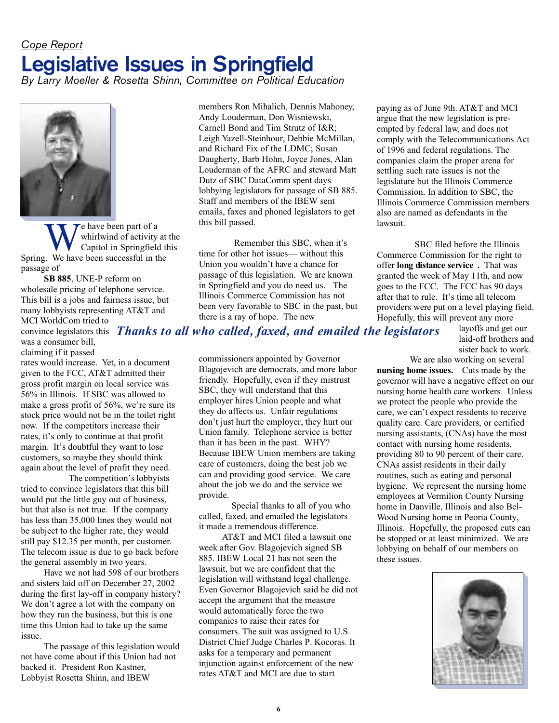## *Cope Report* **Legislative Issues in Springfield**

*By Larry Moeller & Rosetta Shinn, Committee on Political Education*



We have been part of a<br>
University at Capitol in Springfield t<br>
Spring. We have been successful in the e have been part of a whirlwind of activity at the Capitol in Springfield this passage of

**SB 885**, UNE-P reform on wholesale pricing of telephone service. This bill is a jobs and fairness issue, but many lobbyists representing AT&T and

MCI WorldCom tried to convince legislators this *Thanks to all who called, faxed, and emailed the legislators*was a consumer bill, claiming if it passed

rates would increase. Yet, in a document given to the FCC, AT&T admitted their gross profit margin on local service was 56% in Illinois. If SBC was allowed to make a gross profit of 56%, we're sure its stock price would not be in the toilet right now. If the competitors increase their rates, it's only to continue at that profit margin. It's doubtful they want to lose customers, so maybe they should think again about the level of profit they need.

The competition's lobbyists tried to convince legislators that this bill would put the little guy out of business, but that also is not true. If the company has less than 35,000 lines they would not be subject to the higher rate, they would still pay \$12.35 per month, per customer. The telecom issue is due to go back before the general assembly in two years.

Have we not had 598 of our brothers and sisters laid off on December 27, 2002 during the first lay-off in company history? We don't agree a lot with the company on how they run the business, but this is one time this Union had to take up the same issue.

The passage of this legislation would not have come about if this Union had not backed it. President Ron Kastner, Lobbyist Rosetta Shinn, and IBEW

members Ron Mihalich, Dennis Mahoney, Andy Louderman, Don Wisniewski, Carnell Bond and Tim Strutz of I&R; Leigh Yazell-Steinhour, Debbie McMillan, and Richard Fix of the LDMC; Susan Daugherty, Barb Hohn, Joyce Jones, Alan Louderman of the AFRC and steward Matt Dutz of SBC DataComm spent days lobbying legislators for passage of SB 885. Staff and members of the IBEW sent emails, faxes and phoned legislators to get this bill passed.

Remember this SBC, when it's time for other hot issues— without this Union you wouldn't have a chance for passage of this legislation. We are known in Springfield and you do need us. The Illinois Commerce Commission has not been very favorable to SBC in the past, but there is a ray of hope. The new

commissioners appointed by Governor Blagojevich are democrats, and more labor friendly. Hopefully, even if they mistrust SBC, they will understand that this employer hires Union people and what they do affects us. Unfair regulations don't just hurt the employer, they hurt our Union family. Telephone service is better than it has been in the past. WHY? Because IBEW Union members are taking care of customers, doing the best job we can and providing good service. We care about the job we do and the service we provide.

Special thanks to all of you who called, faxed, and emailed the legislators it made a tremendous difference.

AT&T and MCI filed a lawsuit one week after Gov. Blagojevich signed SB 885. IBEW Local 21 has not seen the lawsuit, but we are confident that the legislation will withstand legal challenge. Even Governor Blagojevich said he did not accept the argument that the measure would automatically force the two companies to raise their rates for consumers. The suit was assigned to U.S. District Chief Judge Charles P. Kocoras. It asks for a temporary and permanent injunction against enforcement of the new rates AT&T and MCI are due to start

paying as of June 9th. AT&T and MCI argue that the new legislation is preempted by federal law, and does not comply with the Telecommunications Act of 1996 and federal regulations. The companies claim the proper arena for settling such rate issues is not the legislature but the Illinois Commerce Commission. In addition to SBC, the Illinois Commerce Commission members also are named as defendants in the lawsuit.

SBC filed before the Illinois Commerce Commission for the right to offer **long distance service .** That was granted the week of May 11th, and now goes to the FCC. The FCC has 90 days after that to rule. It's time all telecom providers were put on a level playing field. Hopefully, this will prevent any more

> layoffs and get our laid-off brothers and sister back to work.

We are also working on several **nursing home issues.** Cuts made by the governor will have a negative effect on our nursing home health care workers. Unless we protect the people who provide the care, we can't expect residents to receive quality care. Care providers, or certified nursing assistants, (CNAs) have the most contact with nursing home residents, providing 80 to 90 percent of their care. CNAs assist residents in their daily routines, such as eating and personal hygiene. We represent the nursing home employees at Vermilion County Nursing home in Danville, Illinois and also Bel-Wood Nursing home in Peoria County, Illinois. Hopefully, the proposed cuts can be stopped or at least minimized. We are lobbying on behalf of our members on these issues.

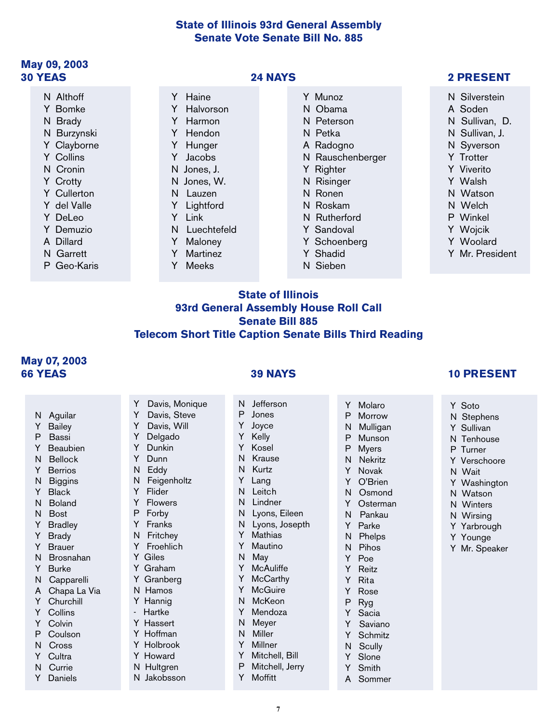#### **State of Illinois 93rd General Assembly Senate Vote Senate Bill No. 885**

#### **May 09, 2003 30 YEAS 24 NAYS 2 PRESENT**

### N Althoff

- Y Bomke
- N Brady
- N Burzynski
- Y Clayborne Y Collins
- 
- N Cronin
- Y Crotty
- Y Cullerton
- Y del Valle
- Y DeLeo
- Y Demuzio
- A Dillard
- N Garrett
- P Geo-Karis

- Y Haine
- Y Halvorson
- Y Harmon
- Y Hendon
- Y Hunger
- Y Jacobs
- N Jones, J.
- N Jones, W.
- N Lauzen
- Y Lightford
- Y Link
- N Luechtefeld
- Y Maloney
- Y Martinez
- Y Meeks

Y Davis, Monique Y Davis, Steve Y Davis, Will Y Delgado Y Dunkin Y Dunn N Eddy N Feigenholtz Y Flider Y Flowers P Forby Y Franks N Fritchey Y Froehlich Y Giles Y Graham Y Granberg N Hamos Y Hannig **Hartke** Y Hassert Y Hoffman Y Holbrook Y Howard N Hultgren N Jakobsson

- Y Munoz
- N Obama
- N Peterson
- N Petka
- A Radogno
- N Rauschenberger
- Y Righter
- N Risinger
- N Ronen
- N Roskam
- N Rutherford
- Y Sandoval
- Y Schoenberg
- Y Shadid

Y Molaro P Morrow N Mulligan P Munson P Myers N Nekritz Y Novak Y O'Brien N Osmond Y Osterman N Pankau Y Parke N Phelps N Pihos Y Poe Y Reitz Y Rita Y Rose<br>P Rva Ryg Y Sacia Y Saviano Y Schmitz N Scully Y Slone Y Smith A Sommer

N Sieben

- N Silverstein
- A Soden
- N Sullivan, D.
- N Sullivan, J.
- N Syverson
- Y Trotter
- Y Viverito
- Y Walsh
- N Watson
- N Welch
- P Winkel
- 
- Y Wojcik
- Y Woolard
- Y Mr. President

### **State of Illinois 93rd General Assembly House Roll Call Senate Bill 885 Telecom Short Title Caption Senate Bills Third Reading**

#### **May 07, 2003 66 YEAS 39 NAYS 10 PRESENT**

N Aguilar Y Bailey P Bassi Y Beaubien N Bellock Y Berrios N Biggins Y Black N Boland N Bost Y Bradley Y Brady Y Brauer N Brosnahan Y Burke N Capparelli A Chapa La Via Y Churchill Y Collins Y Colvin P Coulson N Cross Y Cultra N Currie Y Daniels

- N Jefferson P Jones Y Joyce Y Kelly Y Kosel N Krause
	- N Kurtz
	-
	- Y Lang
	- N Leitch
	- N Lindner
	- N Lyons, Eileen
	- N Lyons, Josepth
	- Y Mathias
	- Y Mautino
	- N May
	- Y McAuliffe
	- Y McCarthy
	- Y McGuire
	- N McKeon
	- Y Mendoza N Meyer
	- N Miller
	- Y Millner
	- Y Mitchell, Bill
	- P Mitchell, Jerry
	- Y Moffitt

**7**

- Y Soto
- N Stephens
- Y Sullivan
- N Tenhouse
- P Turner
- Y Verschoore
- N Wait
- Y Washington
- N Watson
- N Winters
- N Wirsing Y Yarbrough

Y Younge Y Mr. Speaker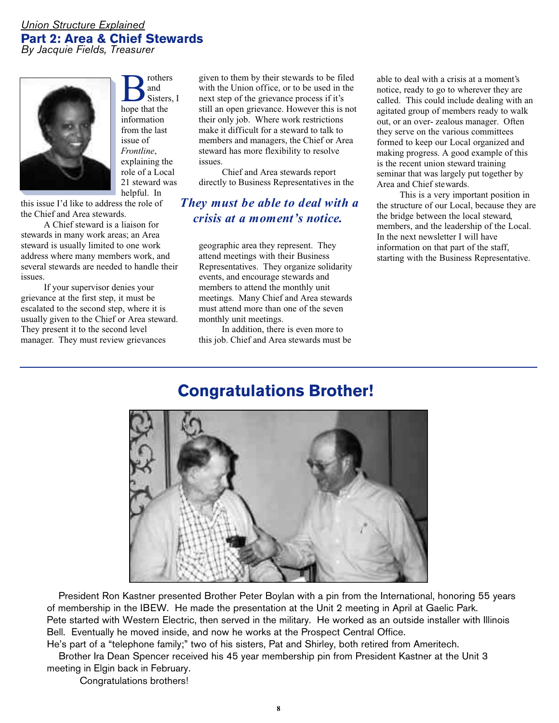#### *Union Structure Explained* **Part 2: Area & Chief Stewards** *By Jacquie Fields, Treasurer*



**B**<br>sister<br>hope that the rothers and Sisters, I information from the last issue of *Frontline*, explaining the role of a Local 21 steward was helpful. In

this issue I'd like to address the role of the Chief and Area stewards.

A Chief steward is a liaison for stewards in many work areas; an Area steward is usually limited to one work address where many members work, and several stewards are needed to handle their issues.

If your supervisor denies your grievance at the first step, it must be escalated to the second step, where it is usually given to the Chief or Area steward. They present it to the second level manager. They must review grievances

given to them by their stewards to be filed with the Union office, or to be used in the next step of the grievance process if it's still an open grievance. However this is not their only job. Where work restrictions make it difficult for a steward to talk to members and managers, the Chief or Area steward has more flexibility to resolve issues.

Chief and Area stewards report directly to Business Representatives in the

### *They must be able to deal with a crisis at a moment's notice.*

geographic area they represent. They attend meetings with their Business Representatives. They organize solidarity events, and encourage stewards and members to attend the monthly unit meetings. Many Chief and Area stewards must attend more than one of the seven monthly unit meetings.

In addition, there is even more to this job. Chief and Area stewards must be

able to deal with a crisis at a moment's notice, ready to go to wherever they are called. This could include dealing with an agitated group of members ready to walk out, or an over- zealous manager. Often they serve on the various committees formed to keep our Local organized and making progress. A good example of this is the recent union steward training seminar that was largely put together by Area and Chief stewards.

This is a very important position in the structure of our Local, because they are the bridge between the local steward, members, and the leadership of the Local. In the next newsletter I will have information on that part of the staff, starting with the Business Representative.

### **Congratulations Brother!**



President Ron Kastner presented Brother Peter Boylan with a pin from the International, honoring 55 years of membership in the IBEW. He made the presentation at the Unit 2 meeting in April at Gaelic Park. Pete started with Western Electric, then served in the military. He worked as an outside installer with Illinois Bell. Eventually he moved inside, and now he works at the Prospect Central Office.

He's part of a "telephone family;" two of his sisters, Pat and Shirley, both retired from Ameritech. Brother Ira Dean Spencer received his 45 year membership pin from President Kastner at the Unit 3 meeting in Elgin back in February.

Congratulations brothers!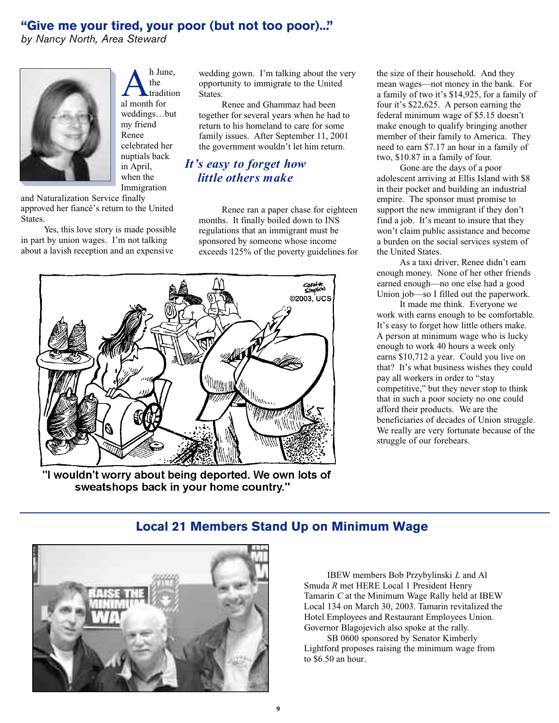### **"Give me your tired, your poor (but not too poor)..."**

*by Nancy North, Area Steward*



A h Jur<br>al month for h June, the tradition weddings…but my friend Renee celebrated her nuptials back in April, when the Immigration

and Naturalization Service finally approved her fiancé's return to the United States.

Yes, this love story is made possible in part by union wages. I'm not talking about a lavish reception and an expensive

wedding gown. I'm talking about the very opportunity to immigrate to the United States.

Renee and Ghammaz had been together for several years when he had to return to his homeland to care for some family issues. After September 11, 2001 the government wouldn't let him return.

### *It's easy to forget how little others make*

Renee ran a paper chase for eighteen months. It finally boiled down to INS regulations that an immigrant must be sponsored by someone whose income exceeds 125% of the poverty guidelines for



"I wouldn't worry about being deported. We own lots of sweatshops back in your home country."

the size of their household. And they mean wages—not money in the bank. For a family of two it's \$14,925, for a family of four it's \$22,625. A person earning the federal minimum wage of \$5.15 doesn't make enough to qualify bringing another member of their family to America. They need to earn \$7.17 an hour in a family of two, \$10.87 in a family of four.

Gone are the days of a poor adolescent arriving at Ellis Island with \$8 in their pocket and building an industrial empire. The sponsor must promise to support the new immigrant if they don't find a job. It's meant to insure that they won't claim public assistance and become a burden on the social services system of the United States.

As a taxi driver, Renee didn't earn enough money. None of her other friends earned enough—no one else had a good Union job—so I filled out the paperwork.

It made me think. Everyone we work with earns enough to be comfortable. It's easy to forget how little others make. A person at minimum wage who is lucky enough to work 40 hours a week only earns \$10,712 a year. Could you live on that? It's what business wishes they could pay all workers in order to "stay competitive," but they never stop to think that in such a poor society no one could afford their products. We are the beneficiaries of decades of Union struggle. We really are very fortunate because of the struggle of our forebears.



### **Local 21 Members Stand Up on Minimum Wage**

IBEW members Bob Przybylinski *L* and Al Smuda *R* met HERE Local 1 President Henry Tamarin *C* at the Minimum Wage Rally held at IBEW Local 134 on March 30, 2003. Tamarin revitalized the Hotel Employees and Restaurant Employees Union. Governor Blagojevich also spoke at the rally.

SB 0600 sponsored by Senator Kimberly Lightford proposes raising the minimum wage from to \$6.50 an hour.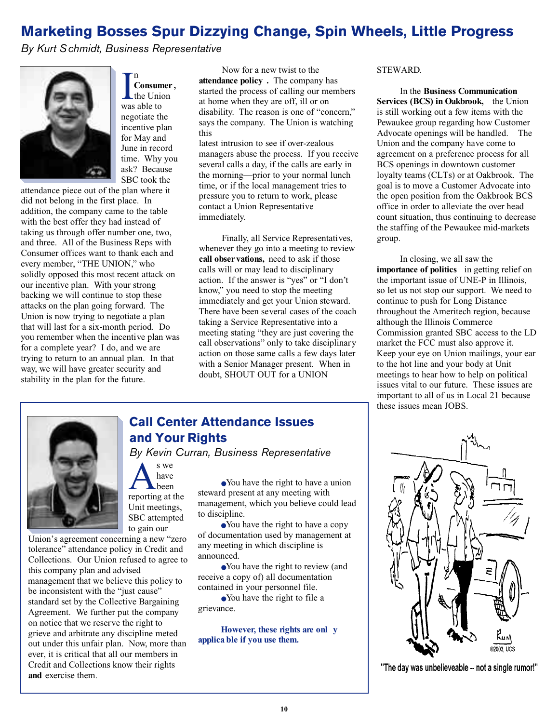### **Marketing Bosses Spur Dizzying Change, Spin Wheels, Little Progress**

*By Kurt Schmidt, Business Representative*

n



Inconsum<br>
the University<br>
was able to **Consumer ,** the Union negotiate the incentive plan for May and June in record time. Why you ask? Because SBC took the

attendance piece out of the plan where it did not belong in the first place. In addition, the company came to the table with the best offer they had instead of taking us through offer number one, two, and three. All of the Business Reps with Consumer offices want to thank each and every member, "THE UNION," who solidly opposed this most recent attack on our incentive plan. With your strong backing we will continue to stop these attacks on the plan going forward. The Union is now trying to negotiate a plan that will last for a six-month period. Do you remember when the incentive plan was for a complete year? I do, and we are trying to return to an annual plan. In that way, we will have greater security and stability in the plan for the future.

Now for a new twist to the **attendance policy .** The company has started the process of calling our members at home when they are off, ill or on disability. The reason is one of "concern," says the company. The Union is watching this

latest intrusion to see if over-zealous managers abuse the process. If you receive several calls a day, if the calls are early in the morning—prior to your normal lunch time, or if the local management tries to pressure you to return to work, please contact a Union Representative immediately.

Finally, all Service Representatives, whenever they go into a meeting to review **call obser vations,** need to ask if those calls will or may lead to disciplinary action. If the answer is "yes" or "I don't know," you need to stop the meeting immediately and get your Union steward. There have been several cases of the coach taking a Service Representative into a meeting stating "they are just covering the call observations" only to take disciplinary action on those same calls a few days later with a Senior Manager present. When in doubt, SHOUT OUT for a UNION

#### STEWARD.

In the **Business Communication Services (BCS) in Oakbrook,** the Union is still working out a few items with the Pewaukee group regarding how Customer Advocate openings will be handled. The Union and the company have come to agreement on a preference process for all BCS openings in downtown customer loyalty teams (CLTs) or at Oakbrook. The goal is to move a Customer Advocate into the open position from the Oakbrook BCS office in order to alleviate the over head count situation, thus continuing to decrease the staffing of the Pewaukee mid-markets group.

In closing, we all saw the **importance of politics** in getting relief on the important issue of UNE-P in Illinois, so let us not stop our support. We need to continue to push for Long Distance throughout the Ameritech region, because although the Illinois Commerce Commission granted SBC access to the LD market the FCC must also approve it. Keep your eye on Union mailings, your ear to the hot line and your body at Unit meetings to hear how to help on political issues vital to our future. These issues are important to all of us in Local 21 because these issues mean JOBS.



to gain our Union's agreement concerning a new "zero tolerance" attendance policy in Credit and Collections. Our Union refused to agree to this company plan and advised management that we believe this policy to be inconsistent with the "just cause" standard set by the Collective Bargaining Agreement. We further put the company on notice that we reserve the right to grieve and arbitrate any discipline meted out under this unfair plan. Now, more than ever, it is critical that all our members in Credit and Collections know their rights **and** exercise them.

### **Call Center Attendance Issues and Your Rights**

s we have been

Unit meetings, SBC attempted

A s we<br>have<br>reporting at the *By Kevin Curran, Business Representative*

●You have the right to have a union steward present at any meeting with management, which you believe could lead to discipline.

•You have the right to have a copy of documentation used by management at any meeting in which discipline is announced.

●You have the right to review (and receive a copy of) all documentation contained in your personnel file.

●You have the right to file a grievance.

**However, these rights are onl y applica ble if you use them.**



"The day was unbelieveable -- not a single rumor!"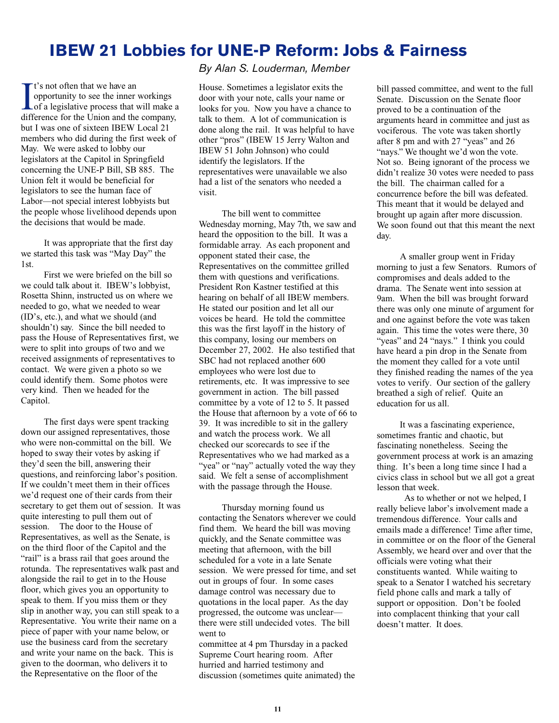### **IBEW 21 Lobbies for UNE-P Reform: Jobs & Fairness**

 $\int$  t's not often that we have an<br>opportunity to see the inner workings<br>of a legislative process that will make a<br>difference for the Union and the company t's not often that we have an opportunity to see the inner workings difference for the Union and the company, but I was one of sixteen IBEW Local 21 members who did during the first week of May. We were asked to lobby our legislators at the Capitol in Springfield concerning the UNE-P Bill, SB 885. The Union felt it would be beneficial for legislators to see the human face of Labor—not special interest lobbyists but the people whose livelihood depends upon the decisions that would be made.

It was appropriate that the first day we started this task was "May Day" the 1st.

First we were briefed on the bill so we could talk about it. IBEW's lobbyist, Rosetta Shinn, instructed us on where we needed to go, what we needed to wear (ID's, etc.), and what we should (and shouldn't) say. Since the bill needed to pass the House of Representatives first, we were to split into groups of two and we received assignments of representatives to contact. We were given a photo so we could identify them. Some photos were very kind. Then we headed for the Capitol.

The first days were spent tracking down our assigned representatives, those who were non-committal on the bill. We hoped to sway their votes by asking if they'd seen the bill, answering their questions, and reinforcing labor's position. If we couldn't meet them in their offices we'd request one of their cards from their secretary to get them out of session. It was quite interesting to pull them out of session. The door to the House of Representatives, as well as the Senate, is on the third floor of the Capitol and the "rail" is a brass rail that goes around the rotunda. The representatives walk past and alongside the rail to get in to the House floor, which gives you an opportunity to speak to them. If you miss them or they slip in another way, you can still speak to a Representative. You write their name on a piece of paper with your name below, or use the business card from the secretary and write your name on the back. This is given to the doorman, who delivers it to the Representative on the floor of the

#### *By Alan S. Louderman, Member*

House. Sometimes a legislator exits the door with your note, calls your name or looks for you. Now you have a chance to talk to them. A lot of communication is done along the rail. It was helpful to have other "pros" (IBEW 15 Jerry Walton and IBEW 51 John Johnson) who could identify the legislators. If the representatives were unavailable we also had a list of the senators who needed a visit.

The bill went to committee Wednesday morning, May 7th, we saw and heard the opposition to the bill. It was a formidable array. As each proponent and opponent stated their case, the Representatives on the committee grilled them with questions and verifications. President Ron Kastner testified at this hearing on behalf of all IBEW members. He stated our position and let all our voices be heard. He told the committee this was the first layoff in the history of this company, losing our members on December 27, 2002. He also testified that SBC had not replaced another 600 employees who were lost due to retirements, etc. It was impressive to see government in action. The bill passed committee by a vote of 12 to 5. It passed the House that afternoon by a vote of 66 to 39. It was incredible to sit in the gallery and watch the process work. We all checked our scorecards to see if the Representatives who we had marked as a "yea" or "nay" actually voted the way they said. We felt a sense of accomplishment with the passage through the House.

Thursday morning found us contacting the Senators wherever we could find them. We heard the bill was moving quickly, and the Senate committee was meeting that afternoon, with the bill scheduled for a vote in a late Senate session. We were pressed for time, and set out in groups of four. In some cases damage control was necessary due to quotations in the local paper. As the day progressed, the outcome was unclear there were still undecided votes. The bill went to

committee at 4 pm Thursday in a packed Supreme Court hearing room. After hurried and harried testimony and discussion (sometimes quite animated) the

bill passed committee, and went to the full Senate. Discussion on the Senate floor proved to be a continuation of the arguments heard in committee and just as vociferous. The vote was taken shortly after 8 pm and with 27 "yeas" and 26 "nays." We thought we'd won the vote. Not so. Being ignorant of the process we didn't realize 30 votes were needed to pass the bill. The chairman called for a concurrence before the bill was defeated. This meant that it would be delayed and brought up again after more discussion. We soon found out that this meant the next day.

A smaller group went in Friday morning to just a few Senators. Rumors of compromises and deals added to the drama. The Senate went into session at 9am. When the bill was brought forward there was only one minute of argument for and one against before the vote was taken again. This time the votes were there, 30 "yeas" and 24 "nays." I think you could have heard a pin drop in the Senate from the moment they called for a vote until they finished reading the names of the yea votes to verify. Our section of the gallery breathed a sigh of relief. Quite an education for us all.

It was a fascinating experience, sometimes frantic and chaotic, but fascinating nonetheless. Seeing the government process at work is an amazing thing. It's been a long time since I had a civics class in school but we all got a great lesson that week.

As to whether or not we helped, I really believe labor's involvement made a tremendous difference. Your calls and emails made a difference! Time after time, in committee or on the floor of the General Assembly, we heard over and over that the officials were voting what their constituents wanted. While waiting to speak to a Senator I watched his secretary field phone calls and mark a tally of support or opposition. Don't be fooled into complacent thinking that your call doesn't matter. It does.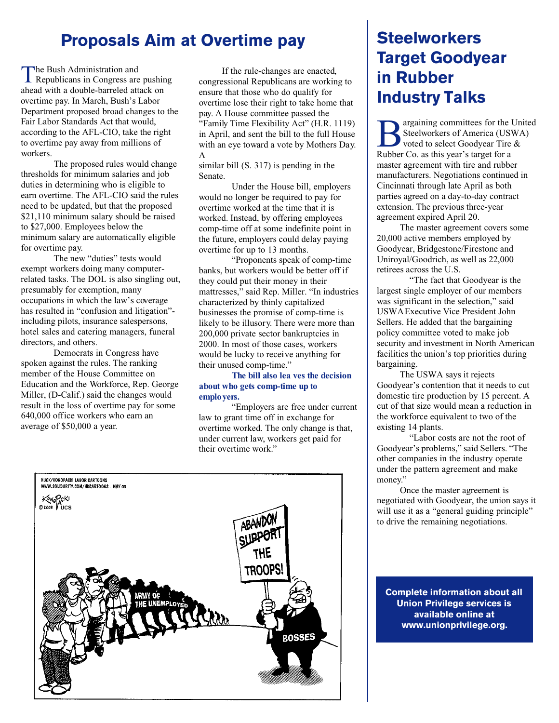## **Proposals Aim at Overtime pay Steelworkers**

The Bush Administration and<br>Republicans in Congress are pushing he Bush Administration and ahead with a double-barreled attack on overtime pay. In March, Bush's Labor Department proposed broad changes to the Fair Labor Standards Act that would, according to the AFL-CIO, take the right to overtime pay away from millions of workers.

The proposed rules would change thresholds for minimum salaries and job duties in determining who is eligible to earn overtime. The AFL-CIO said the rules need to be updated, but that the proposed \$21,110 minimum salary should be raised to \$27,000. Employees below the minimum salary are automatically eligible for overtime pay.

The new "duties" tests would exempt workers doing many computerrelated tasks. The DOL is also singling out, presumably for exemption, many occupations in which the law's coverage has resulted in "confusion and litigation" including pilots, insurance salespersons, hotel sales and catering managers, funeral directors, and others.

Democrats in Congress have spoken against the rules. The ranking member of the House Committee on Education and the Workforce, Rep. George Miller, (D-Calif.) said the changes would result in the loss of overtime pay for some 640,000 office workers who earn an average of \$50,000 a year.

If the rule-changes are enacted, congressional Republicans are working to ensure that those who do qualify for overtime lose their right to take home that pay. A House committee passed the "Family Time Flexibility Act" (H.R. 1119) in April, and sent the bill to the full House with an eye toward a vote by Mothers Day. A

similar bill (S. 317) is pending in the Senate.

Under the House bill, employers would no longer be required to pay for overtime worked at the time that it is worked. Instead, by offering employees comp-time off at some indefinite point in the future, employers could delay paying overtime for up to 13 months.

"Proponents speak of comp-time banks, but workers would be better off if they could put their money in their mattresses," said Rep. Miller. "In industries characterized by thinly capitalized businesses the promise of comp-time is likely to be illusory. There were more than 200,000 private sector bankruptcies in 2000. In most of those cases, workers would be lucky to receive anything for their unused comp-time."

#### **The bill also lea ves the decision about who gets comp-time up to employers.**

"Employers are free under current law to grant time off in exchange for overtime worked. The only change is that, under current law, workers get paid for their overtime work."



# **Target Goodyear in Rubber Industry Talks**

Belworkers of America (USN)<br>
Rubber Co. as this year's target for a argaining committees for the United Steelworkers of America (USWA) voted to select Goodyear Tire & master agreement with tire and rubber manufacturers. Negotiations continued in Cincinnati through late April as both parties agreed on a day-to-day contract extension. The previous three-year agreement expired April 20.

The master agreement covers some 20,000 active members employed by Goodyear, Bridgestone/Firestone and Uniroyal/Goodrich, as well as 22,000 retirees across the U.S.

"The fact that Goodyear is the largest single employer of our members was significant in the selection," said USWA Executive Vice President John Sellers. He added that the bargaining policy committee voted to make job security and investment in North American facilities the union's top priorities during bargaining.

The USWA says it rejects Goodyear's contention that it needs to cut domestic tire production by 15 percent. A cut of that size would mean a reduction in the workforce equivalent to two of the existing 14 plants.

"Labor costs are not the root of Goodyear's problems," said Sellers. "The other companies in the industry operate under the pattern agreement and make money."

Once the master agreement is negotiated with Goodyear, the union says it will use it as a "general guiding principle" to drive the remaining negotiations.

**Complete information about all Union Privilege services is available online at www.unionprivilege.org.**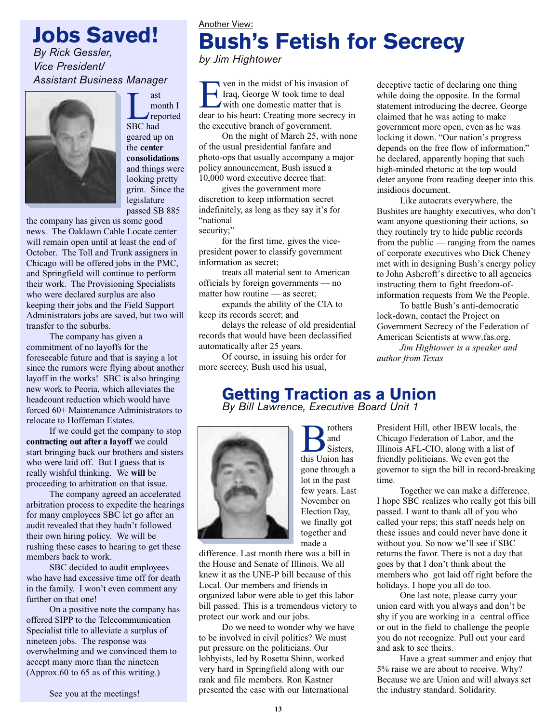**Jobs Saved!**

*By Rick Gessler, Vice President/ Assistant Business Manager*



Last<br>
mc<br>
SBC had month I reported geared up on the **center consolidations** and things were looking pretty grim. Since the legislature passed SB 885

the company has given us some good news. The Oaklawn Cable Locate center will remain open until at least the end of October. The Toll and Trunk assigners in Chicago will be offered jobs in the PMC, and Springfield will continue to perform their work. The Provisioning Specialists who were declared surplus are also keeping their jobs and the Field Support Administrators jobs are saved, but two will transfer to the suburbs.

The company has given a commitment of no layoffs for the foreseeable future and that is saying a lot since the rumors were flying about another layoff in the works! SBC is also bringing new work to Peoria, which alleviates the headcount reduction which would have forced 60+ Maintenance Administrators to relocate to Hoffeman Estates.

If we could get the company to stop **contracting out after a layoff** we could start bringing back our brothers and sisters who were laid off. But I guess that is really wishful thinking. We **will** be proceeding to arbitration on that issue.

The company agreed an accelerated arbitration process to expedite the hearings for many employees SBC let go after an audit revealed that they hadn't followed their own hiring policy. We will be rushing these cases to hearing to get these members back to work.

SBC decided to audit employees who have had excessive time off for death in the family. I won't even comment any further on that one!

On a positive note the company has offered SIPP to the Telecommunication Specialist title to alleviate a surplus of nineteen jobs. The response was overwhelming and we convinced them to accept many more than the nineteen (Approx.60 to 65 as of this writing.)

See you at the meetings!

### Another View: **Bush's Fetish for Secrecy** *by Jim Hightower*

**EVENT IT WANK IN THE MANUS CONTROLLED STATE IN THE MANUS CONTROLLED STATE IN THE MANUS CONTROLLED AND THE MANUS CONTROLLED AND THE MANUS CONTROLLED AND THE MANUS CONTROLLED AND THE MANUS CONTROLLED AND THE MANUS CONTROLLE** Iraq, George W took time to deal with one domestic matter that is dear to his heart: Creating more secrecy in the executive branch of government.

On the night of March 25, with none of the usual presidential fanfare and photo-ops that usually accompany a major policy announcement, Bush issued a 10,000 word executive decree that:

gives the government more discretion to keep information secret indefinitely, as long as they say it's for "national security:"

for the first time, gives the vicepresident power to classify government information as secret;

treats all material sent to American officials by foreign governments — no matter how routine — as secret;

expands the ability of the CIA to keep its records secret; and

delays the release of old presidential records that would have been declassified automatically after 25 years.

Of course, in issuing his order for more secrecy, Bush used his usual,

deceptive tactic of declaring one thing while doing the opposite. In the formal statement introducing the decree, George claimed that he was acting to make government more open, even as he was locking it down. "Our nation's progress depends on the free flow of information," he declared, apparently hoping that such high-minded rhetoric at the top would deter anyone from reading deeper into this insidious document.

Like autocrats everywhere, the Bushites are haughty executives, who don't want anyone questioning their actions, so they routinely try to hide public records from the public — ranging from the names of corporate executives who Dick Cheney met with in designing Bush's energy policy to John Ashcroft's directive to all agencies instructing them to fight freedom-ofinformation requests from We the People.

To battle Bush's anti-democratic lock-down, contact the Project on Government Secrecy of the Federation of American Scientists at www.fas.org.

*Jim Hightower is a speaker and author from Texas*

## **Getting Traction as a Union**

*By Bill Lawrence, Executive Board Unit 1*



**B**<br>Sisters,<br>this Union has and Sisters, gone through a lot in the past few years. Last November on Election Day, we finally got together and made a

difference. Last month there was a bill in the House and Senate of Illinois. We all knew it as the UNE-P bill because of this Local. Our members and friends in organized labor were able to get this labor bill passed. This is a tremendous victory to protect our work and our jobs.

Do we need to wonder why we have to be involved in civil politics? We must put pressure on the politicians. Our lobbyists, led by Rosetta Shinn, worked very hard in Springfield along with our rank and file members. Ron Kastner presented the case with our International

President Hill, other IBEW locals, the Chicago Federation of Labor, and the Illinois AFL-CIO, along with a list of friendly politicians. We even got the governor to sign the bill in record-breaking time.

Together we can make a difference. I hope SBC realizes who really got this bill passed. I want to thank all of you who called your reps; this staff needs help on these issues and could never have done it without you. So now we'll see if SBC returns the favor. There is not a day that goes by that I don't think about the members who got laid off right before the holidays. I hope you all do too.

One last note, please carry your union card with you always and don't be shy if you are working in a central office or out in the field to challenge the people you do not recognize. Pull out your card and ask to see theirs.

Have a great summer and enjoy that 5% raise we are about to receive. Why? Because we are Union and will always set the industry standard. Solidarity.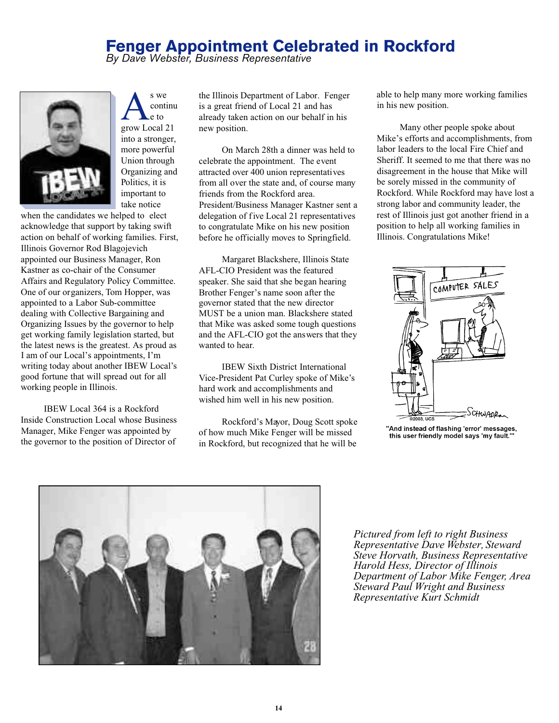### **Fenger Appointment Celebrated in Rockford**

*By Dave Webster, Business Representative*



A<br>e to<br>grow Local 21 s we continu e to into a stronger, more powerful Union through Organizing and Politics, it is important to take notice

when the candidates we helped to elect acknowledge that support by taking swift action on behalf of working families. First, Illinois Governor Rod Blagojevich appointed our Business Manager, Ron Kastner as co-chair of the Consumer Affairs and Regulatory Policy Committee. One of our organizers, Tom Hopper, was appointed to a Labor Sub-committee dealing with Collective Bargaining and Organizing Issues by the governor to help get working family legislation started, but the latest news is the greatest. As proud as I am of our Local's appointments, I'm writing today about another IBEW Local's good fortune that will spread out for all working people in Illinois.

IBEW Local 364 is a Rockford Inside Construction Local whose Business Manager, Mike Fenger was appointed by the governor to the position of Director of

the Illinois Department of Labor. Fenger is a great friend of Local 21 and has already taken action on our behalf in his new position.

On March 28th a dinner was held to celebrate the appointment. The event attracted over 400 union representatives from all over the state and, of course many friends from the Rockford area. President/Business Manager Kastner sent a delegation of five Local 21 representatives to congratulate Mike on his new position before he officially moves to Springfield.

Margaret Blackshere, Illinois State AFL-CIO President was the featured speaker. She said that she began hearing Brother Fenger's name soon after the governor stated that the new director MUST be a union man. Blackshere stated that Mike was asked some tough questions and the AFL-CIO got the answers that they wanted to hear.

IBEW Sixth District International Vice-President Pat Curley spoke of Mike's hard work and accomplishments and wished him well in his new position.

Rockford's Mayor, Doug Scott spoke of how much Mike Fenger will be missed in Rockford, but recognized that he will be

able to help many more working families in his new position.

Many other people spoke about Mike's efforts and accomplishments, from labor leaders to the local Fire Chief and Sheriff. It seemed to me that there was no disagreement in the house that Mike will be sorely missed in the community of Rockford. While Rockford may have lost a strong labor and community leader, the rest of Illinois just got another friend in a position to help all working families in Illinois. Congratulations Mike!



'And instead of flashing 'error' messages, this user friendly model says 'my fault."



*Pictured from left to right Business Representative Dave Webster, Steward Steve Horvath, Business Representative Harold Hess, Director of Illinois Department of Labor Mike Fenger, Area Steward Paul Wright and Business Representative Kurt Schmidt*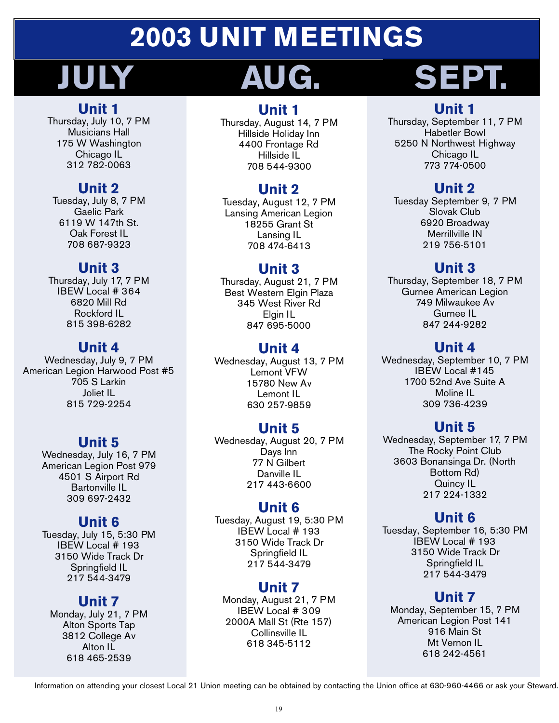# **2003 UNIT MEETINGS**

# **JULY AUG. SEPT.**

### **Unit 1**

Thursday, July 10, 7 PM Musicians Hall 175 W Washington Chicago IL 312 782-0063

### **Unit 2**

Tuesday, July 8, 7 PM Gaelic Park 6119 W 147th St. Oak Forest IL 708 687-9323

### **Unit 3**

Thursday, July 17, 7 PM IBEW Local # 364 6820 Mill Rd Rockford IL 815 398-6282

### **Unit 4**

Wednesday, July 9, 7 PM American Legion Harwood Post #5 705 S Larkin Joliet IL 815 729-2254

### **Unit 5**

Wednesday, July 16, 7 PM American Legion Post 979 4501 S Airport Rd Bartonville IL 309 697-2432

### **Unit 6**

Tuesday, July 15, 5:30 PM IBEW Local # 193 3150 Wide Track Dr Springfield IL 217 544-3479

### **Unit 7**

Monday, July 21, 7 PM Alton Sports Tap 3812 College Av Alton IL 618 465-2539

### **Unit 1**

Thursday, August 14, 7 PM Hillside Holiday Inn 4400 Frontage Rd Hillside IL 708 544-9300

### **Unit 2**

Tuesday, August 12, 7 PM Lansing American Legion 18255 Grant St Lansing IL 708 474-6413

### **Unit 3**

Thursday, August 21, 7 PM Best Western Elgin Plaza 345 West River Rd Elgin IL 847 695-5000

### **Unit 4**

Wednesday, August 13, 7 PM Lemont VFW 15780 New Av Lemont IL 630 257-9859

### **Unit 5**

Wednesday, August 20, 7 PM Days Inn 77 N Gilbert Danville IL 217 443-6600

### **Unit 6**

Tuesday, August 19, 5:30 PM IBEW Local # 193 3150 Wide Track Dr Springfield IL 217 544-3479

### **Unit 7**

Monday, August 21, 7 PM IBEW Local # 309 2000A Mall St (Rte 157) Collinsville IL 618 345-5112

### **Unit 1**

Thursday, September 11, 7 PM Habetler Bowl 5250 N Northwest Highway Chicago IL 773 774-0500

### **Unit 2**

Tuesday September 9, 7 PM Slovak Club 6920 Broadway Merrillville IN 219 756-5101

### **Unit 3**

Thursday, September 18, 7 PM Gurnee American Legion 749 Milwaukee Av Gurnee IL 847 244-9282

### **Unit 4**

Wednesday, September 10, 7 PM IBEW Local #145 1700 52nd Ave Suite A Moline IL 309 736-4239

### **Unit 5**

Wednesday, September 17, 7 PM The Rocky Point Club 3603 Bonansinga Dr. (North Bottom Rd) Quincy IL 217 224-1332

### **Unit 6**

Tuesday, September 16, 5:30 PM IBEW Local # 193 3150 Wide Track Dr Springfield IL 217 544-3479

### **Unit 7**

Monday, September 15, 7 PM American Legion Post 141 916 Main St Mt Vernon IL 618 242-4561

Information on attending your closest Local 21 Union meeting can be obtained by contacting the Union office at 630-960-4466 or ask your Steward.